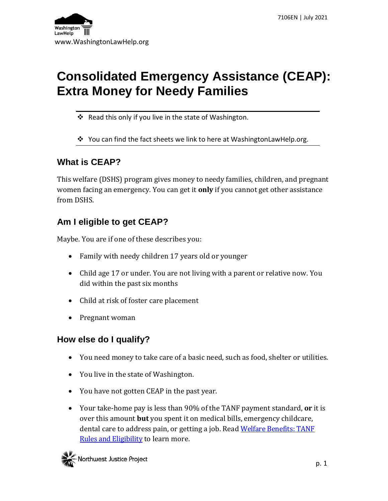# **Consolidated Emergency Assistance (CEAP): Extra Money for Needy Families**

- ❖ Read this only if you live in the state of Washington.
- ❖ You can find the fact sheets we link to here at WashingtonLawHelp.org.

# **What is CEAP?**

This welfare (DSHS) program gives money to needy families, children, and pregnant women facing an emergency. You can get it **only** if you cannot get other assistance from DSHS.

# **Am I eligible to get CEAP?**

Maybe. You are if one of these describes you:

- Family with needy children 17 years old or younger
- Child age 17 or under. You are not living with a parent or relative now. You did within the past six months
- Child at risk of foster care placement
- Pregnant woman

## **How else do I qualify?**

- You need money to take care of a basic need, such as food, shelter or utilities.
- You live in the state of Washington.
- You have not gotten CEAP in the past year.
- Your take-home pay is less than 90% of the TANF payment standard, **or** it is over this amount **but** you spent it on medical bills, emergency childcare, dental care to address pain, or getting a job. Read [Welfare Benefits: TANF](http://www.washingtonlawhelp.org/resource/welfare-benefits-tanf-rules-and-eligibility?ref=zowr3)  [Rules and Eligibility](http://www.washingtonlawhelp.org/resource/welfare-benefits-tanf-rules-and-eligibility?ref=zowr3) to learn more.

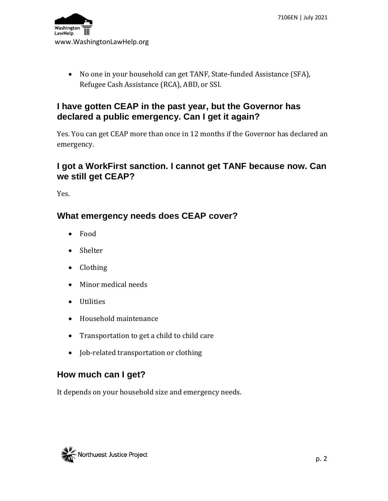7106EN | July 2021



• No one in your household can get TANF, State-funded Assistance (SFA), Refugee Cash Assistance (RCA), ABD, or SSI.

#### **I have gotten CEAP in the past year, but the Governor has declared a public emergency. Can I get it again?**

Yes. You can get CEAP more than once in 12 months if the Governor has declared an emergency.

#### **I got a WorkFirst sanction. I cannot get TANF because now. Can we still get CEAP?**

Yes.

#### **What emergency needs does CEAP cover?**

- Food
- Shelter
- Clothing
- Minor medical needs
- Utilities
- Household maintenance
- Transportation to get a child to child care
- Job-related transportation or clothing

#### **How much can I get?**

It depends on your household size and emergency needs.

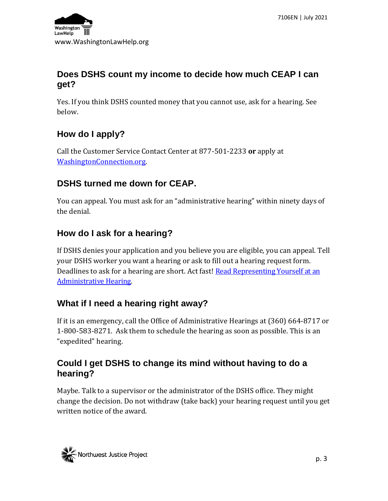

#### **Does DSHS count my income to decide how much CEAP I can get?**

Yes. If you think DSHS counted money that you cannot use, ask for a hearing. See below.

## **How do I apply?**

Call the Customer Service Contact Center at 877-501-2233 **or** apply at [WashingtonConnection.org.](file:///C:/Users/katel/AppData/Local/Microsoft/Windows/INetCache/Content.Outlook/V8K2MKEW/washingtonconnection.org)

# **DSHS turned me down for CEAP.**

You can appeal. You must ask for an "administrative hearing" within ninety days of the denial.

# **How do I ask for a hearing?**

If DSHS denies your application and you believe you are eligible, you can appeal. Tell your DSHS worker you want a hearing or ask to fill out a hearing request form. Deadlines to ask for a hearing are short. Act fast! Read Representing Yourself at an [Administrative Hearing.](http://www.washingtonlawhelp.org/resource/representing-yourself-at-a-fair-hearing?ref=3fvCM)

# **What if I need a hearing right away?**

If it is an emergency, call the Office of Administrative Hearings at (360) 664-8717 or 1-800-583-8271. Ask them to schedule the hearing as soon as possible. This is an "expedited" hearing.

## **Could I get DSHS to change its mind without having to do a hearing?**

Maybe. Talk to a supervisor or the administrator of the DSHS office. They might change the decision. Do not withdraw (take back) your hearing request until you get written notice of the award.